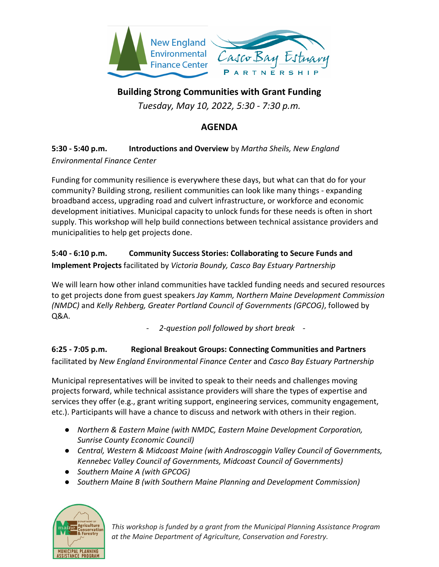

**Building Strong Communities with Grant Funding**

*Tuesday, May 10, 2022, 5:30 - 7:30 p.m.*

## **AGENDA**

## **5:30 - 5:40 p.m. Introductions and Overview** by *Martha Sheils, New England Environmental Finance Center*

Funding for community resilience is everywhere these days, but what can that do for your community? Building strong, resilient communities can look like many things - expanding broadband access, upgrading road and culvert infrastructure, or workforce and economic development initiatives. Municipal capacity to unlock funds for these needs is often in short supply. This workshop will help build connections between technical assistance providers and municipalities to help get projects done.

## **5:40 - 6:10 p.m. Community Success Stories: Collaborating to Secure Funds and Implement Projects** facilitated by *Victoria Boundy, Casco Bay Estuary Partnership*

We will learn how other inland communities have tackled funding needs and secured resources to get projects done from guest speakers *Jay Kamm, Northern Maine Development Commission (NMDC)* and *Kelly Rehberg, Greater Portland Council of Governments (GPCOG)*, followed by Q&A.

- *2-question poll followed by short break -*

**6:25 - 7:05 p.m. Regional Breakout Groups: Connecting Communities and Partners**  facilitated by *New England Environmental Finance Center* and *Casco Bay Estuary Partnership*

Municipal representatives will be invited to speak to their needs and challenges moving projects forward, while technical assistance providers will share the types of expertise and services they offer (e.g., grant writing support, engineering services, community engagement, etc.). Participants will have a chance to discuss and network with others in their region.

- *Northern & Eastern Maine (with NMDC, Eastern Maine Development Corporation, Sunrise County Economic Council)*
- *Central, Western & Midcoast Maine (with Androscoggin Valley Council of Governments, Kennebec Valley Council of Governments, Midcoast Council of Governments)*
- *Southern Maine A (with GPCOG)*
- *Southern Maine B (with Southern Maine Planning and Development Commission)*



*This workshop is funded by a grant from the Municipal Planning Assistance Program at the Maine Department of Agriculture, Conservation and Forestry.*